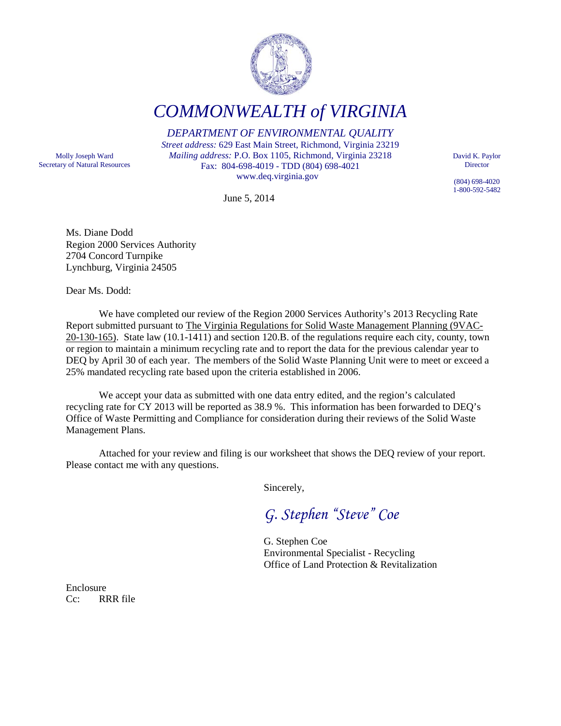

*COMMONWEALTH of VIRGINIA*

*DEPARTMENT OF ENVIRONMENTAL QUALITY*

*Street address:* 629 East Main Street, Richmond, Virginia 23219 *Mailing address:* P.O. Box 1105, Richmond, Virginia 23218 Fax: 804-698-4019 - TDD (804) 698-4021 www.deq.virginia.gov

Molly Joseph Ward Secretary of Natural Resources

June 5, 2014

David K. Paylor **Director** 

(804) 698-4020 1-800-592-5482

Ms. Diane Dodd Region 2000 Services Authority 2704 Concord Turnpike Lynchburg, Virginia 24505

Dear Ms. Dodd:

We have completed our review of the Region 2000 Services Authority's 2013 Recycling Rate Report submitted pursuant to The Virginia Regulations for Solid Waste Management Planning (9VAC-20-130-165). State law (10.1-1411) and section 120.B. of the regulations require each city, county, town or region to maintain a minimum recycling rate and to report the data for the previous calendar year to DEQ by April 30 of each year. The members of the Solid Waste Planning Unit were to meet or exceed a 25% mandated recycling rate based upon the criteria established in 2006.

We accept your data as submitted with one data entry edited, and the region's calculated recycling rate for CY 2013 will be reported as 38.9 %. This information has been forwarded to DEQ's Office of Waste Permitting and Compliance for consideration during their reviews of the Solid Waste Management Plans.

Attached for your review and filing is our worksheet that shows the DEQ review of your report. Please contact me with any questions.

Sincerely,

*G. Stephen "Steve" Coe*

G. Stephen Coe Environmental Specialist - Recycling Office of Land Protection & Revitalization

Enclosure Cc: RRR file